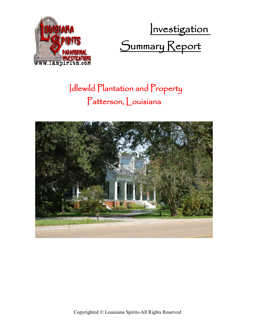

Investigation Summary Report

## Idlewild Plantation and Property Patterson, Louisiana

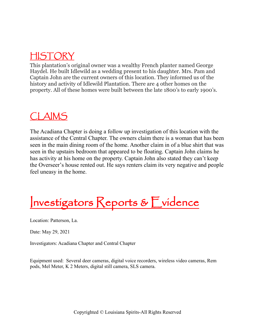### HISTORY

This plantation's original owner was a wealthy French planter named George Haydel. He built Idlewild as a wedding present to his daughter. Mrs. Pam and Captain John are the current owners of this location. They informed us of the history and activity of Idlewild Plantation. There are 4 other homes on the property. All of these homes were built between the late 1800's to early 1900's.

#### CLAIMS

The Acadiana Chapter is doing a follow up investigation of this location with the assistance of the Central Chapter. The owners claim there is a woman that has been seen in the main dining room of the home. Another claim in of a blue shirt that was seen in the upstairs bedroom that appeared to be floating. Captain John claims he has activity at his home on the property. Captain John also stated they can't keep the Overseer's house rented out. He says renters claim its very negative and people feel uneasy in the home.

Investigators Reports & Evidence

Location: Patterson, La.

Date: May 29, 2021

Investigators: Acadiana Chapter and Central Chapter

Equipment used: Several deer cameras, digital voice recorders, wireless video cameras, Rem pods, Mel Meter, K 2 Meters, digital still camera, SLS camera.